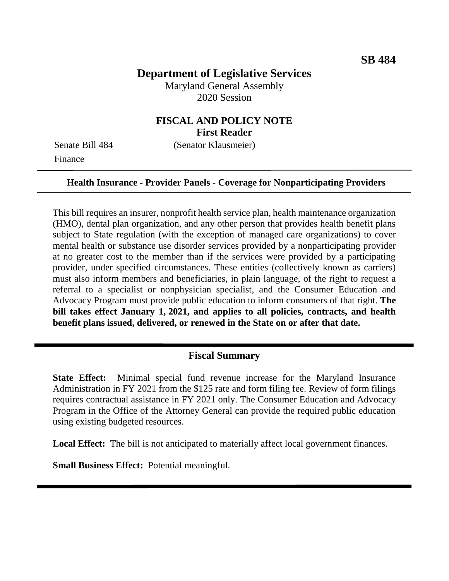# **Department of Legislative Services**

Maryland General Assembly 2020 Session

# **FISCAL AND POLICY NOTE First Reader**

Finance

Senate Bill 484 (Senator Klausmeier)

#### **Health Insurance - Provider Panels - Coverage for Nonparticipating Providers**

This bill requires an insurer, nonprofit health service plan, health maintenance organization (HMO), dental plan organization, and any other person that provides health benefit plans subject to State regulation (with the exception of managed care organizations) to cover mental health or substance use disorder services provided by a nonparticipating provider at no greater cost to the member than if the services were provided by a participating provider, under specified circumstances. These entities (collectively known as carriers) must also inform members and beneficiaries, in plain language, of the right to request a referral to a specialist or nonphysician specialist, and the Consumer Education and Advocacy Program must provide public education to inform consumers of that right. **The bill takes effect January 1, 2021, and applies to all policies, contracts, and health benefit plans issued, delivered, or renewed in the State on or after that date.**

#### **Fiscal Summary**

**State Effect:** Minimal special fund revenue increase for the Maryland Insurance Administration in FY 2021 from the \$125 rate and form filing fee. Review of form filings requires contractual assistance in FY 2021 only. The Consumer Education and Advocacy Program in the Office of the Attorney General can provide the required public education using existing budgeted resources.

**Local Effect:** The bill is not anticipated to materially affect local government finances.

**Small Business Effect:** Potential meaningful.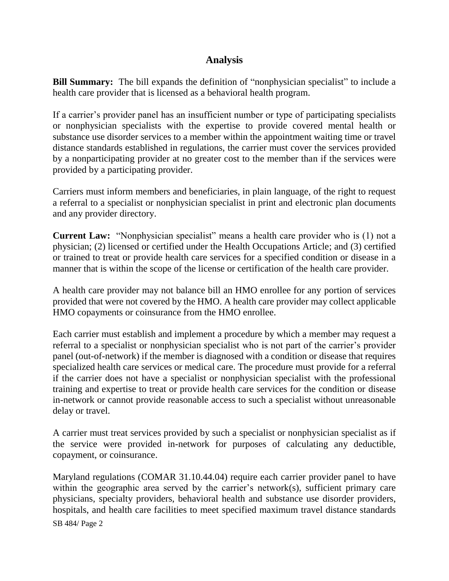## **Analysis**

**Bill Summary:** The bill expands the definition of "nonphysician specialist" to include a health care provider that is licensed as a behavioral health program.

If a carrier's provider panel has an insufficient number or type of participating specialists or nonphysician specialists with the expertise to provide covered mental health or substance use disorder services to a member within the appointment waiting time or travel distance standards established in regulations, the carrier must cover the services provided by a nonparticipating provider at no greater cost to the member than if the services were provided by a participating provider.

Carriers must inform members and beneficiaries, in plain language, of the right to request a referral to a specialist or nonphysician specialist in print and electronic plan documents and any provider directory.

**Current Law:** "Nonphysician specialist" means a health care provider who is (1) not a physician; (2) licensed or certified under the Health Occupations Article; and (3) certified or trained to treat or provide health care services for a specified condition or disease in a manner that is within the scope of the license or certification of the health care provider.

A health care provider may not balance bill an HMO enrollee for any portion of services provided that were not covered by the HMO. A health care provider may collect applicable HMO copayments or coinsurance from the HMO enrollee.

Each carrier must establish and implement a procedure by which a member may request a referral to a specialist or nonphysician specialist who is not part of the carrier's provider panel (out-of-network) if the member is diagnosed with a condition or disease that requires specialized health care services or medical care. The procedure must provide for a referral if the carrier does not have a specialist or nonphysician specialist with the professional training and expertise to treat or provide health care services for the condition or disease in-network or cannot provide reasonable access to such a specialist without unreasonable delay or travel.

A carrier must treat services provided by such a specialist or nonphysician specialist as if the service were provided in-network for purposes of calculating any deductible, copayment, or coinsurance.

Maryland regulations (COMAR 31.10.44.04) require each carrier provider panel to have within the geographic area served by the carrier's network(s), sufficient primary care physicians, specialty providers, behavioral health and substance use disorder providers, hospitals, and health care facilities to meet specified maximum travel distance standards

SB 484/ Page 2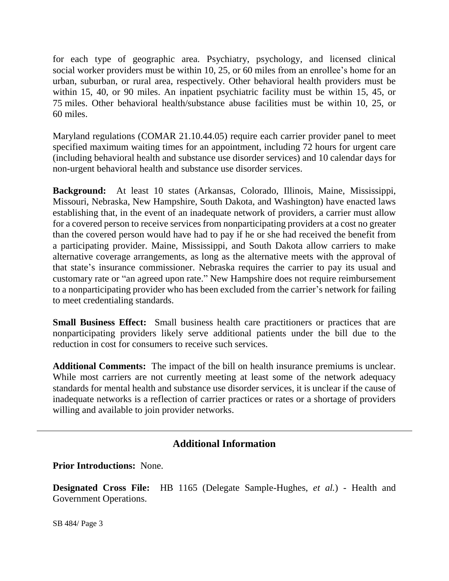for each type of geographic area. Psychiatry, psychology, and licensed clinical social worker providers must be within 10, 25, or 60 miles from an enrollee's home for an urban, suburban, or rural area, respectively. Other behavioral health providers must be within 15, 40, or 90 miles. An inpatient psychiatric facility must be within 15, 45, or 75 miles. Other behavioral health/substance abuse facilities must be within 10, 25, or 60 miles.

Maryland regulations (COMAR 21.10.44.05) require each carrier provider panel to meet specified maximum waiting times for an appointment, including 72 hours for urgent care (including behavioral health and substance use disorder services) and 10 calendar days for non-urgent behavioral health and substance use disorder services.

**Background:** At least 10 states (Arkansas, Colorado, Illinois, Maine, Mississippi, Missouri, Nebraska, New Hampshire, South Dakota, and Washington) have enacted laws establishing that, in the event of an inadequate network of providers, a carrier must allow for a covered person to receive services from nonparticipating providers at a cost no greater than the covered person would have had to pay if he or she had received the benefit from a participating provider. Maine, Mississippi, and South Dakota allow carriers to make alternative coverage arrangements, as long as the alternative meets with the approval of that state's insurance commissioner. Nebraska requires the carrier to pay its usual and customary rate or "an agreed upon rate." New Hampshire does not require reimbursement to a nonparticipating provider who has been excluded from the carrier's network for failing to meet credentialing standards.

**Small Business Effect:** Small business health care practitioners or practices that are nonparticipating providers likely serve additional patients under the bill due to the reduction in cost for consumers to receive such services.

**Additional Comments:** The impact of the bill on health insurance premiums is unclear. While most carriers are not currently meeting at least some of the network adequacy standards for mental health and substance use disorder services, it is unclear if the cause of inadequate networks is a reflection of carrier practices or rates or a shortage of providers willing and available to join provider networks.

## **Additional Information**

**Prior Introductions:** None.

**Designated Cross File:** HB 1165 (Delegate Sample-Hughes, *et al.*) - Health and Government Operations.